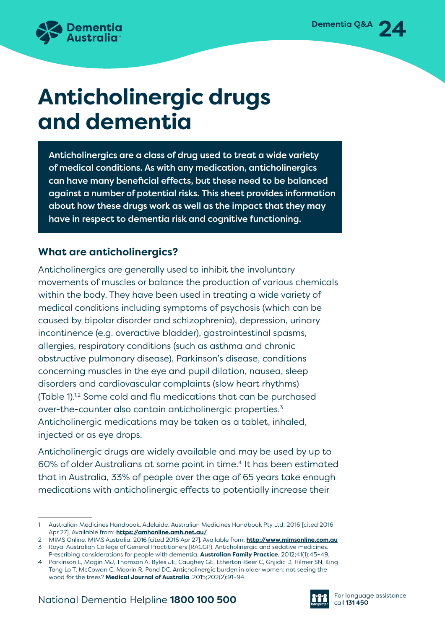

# **Anticholinergic drugs and dementia**

Anticholinergics are a class of drug used to treat a wide variety of medical conditions. As with any medication, anticholinergics can have many beneficial effects, but these need to be balanced against a number of potential risks. This sheet provides information about how these drugs work as well as the impact that they may have in respect to dementia risk and cognitive functioning.

# **What are anticholinergics?**

Anticholinergics are generally used to inhibit the involuntary movements of muscles or balance the production of various chemicals within the body. They have been used in treating a wide variety of medical conditions including symptoms of psychosis (which can be caused by bipolar disorder and schizophrenia), depression, urinary incontinence (e.g. overactive bladder), gastrointestinal spasms, allergies, respiratory conditions (such as asthma and chronic obstructive pulmonary disease), Parkinson's disease, conditions concerning muscles in the eye and pupil dilation, nausea, sleep disorders and cardiovascular complaints (slow heart rhythms) (Table 1).1,2 Some cold and flu medications that can be purchased over-the-counter also contain anticholinergic properties.3 Anticholinergic medications may be taken as a tablet, inhaled, injected or as eye drops.

Anticholinergic drugs are widely available and may be used by up to 60% of older Australians at some point in time.<sup>4</sup> It has been estimated that in Australia, 33% of people over the age of 65 years take enough medications with anticholinergic effects to potentially increase their



<sup>1</sup> Australian Medicines Handbook. Adelaide: Australian Medicines Handbook Pty Ltd; 2016 [cited 2016 Apr 27]. Available from: **<https://amhonline.amh.net.au/>**

<sup>2</sup> MIMS Online. MIMS Australia. 2016 [cited 2016 Apr 27]. Available from: **<http://www.mimsonline.com.au>** 3 Royal Australian College of General Practitioners (RACGP). Anticholinergic and sedative medicines.

Prescribing considerations for people with dementia. **Australian Family Practice**. 2012;41(1):45–49. 4 Parkinson L, Magin MJ, Thomson A, Byles JE, Caughey GE, Etherton-Beer C, Gnjidic D, Hilmer SN, King

Tong Lo T, McCowan C, Moorin R, Pond DC. Anticholinergic burden in older women: not seeing the wood for the trees? **Medical Journal of Australia**. 2015;202(2):91–94.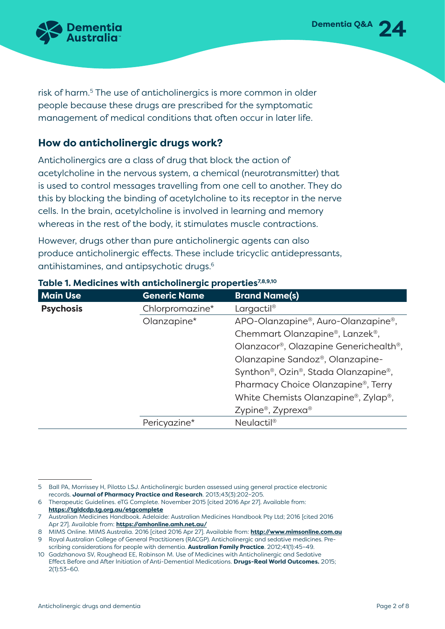risk of harm.<sup>5</sup> The use of anticholinergics is more common in older people because these drugs are prescribed for the symptomatic management of medical conditions that often occur in later life.

#### **How do anticholinergic drugs work?**

Anticholinergics are a class of drug that block the action of acetylcholine in the nervous system, a chemical (neurotransmitter) that is used to control messages travelling from one cell to another. They do this by blocking the binding of acetylcholine to its receptor in the nerve cells. In the brain, acetylcholine is involved in learning and memory whereas in the rest of the body, it stimulates muscle contractions.

However, drugs other than pure anticholinergic agents can also produce anticholinergic effects. These include tricyclic antidepressants, antihistamines, and antipsychotic drugs.6

| <b>Main Use</b>  | <b>Generic Name</b> | <b>Brand Name(s)</b>                                          |
|------------------|---------------------|---------------------------------------------------------------|
| <b>Psychosis</b> | Chlorpromazine*     | Largactil <sup>®</sup>                                        |
|                  | Olanzapine*         | APO-Olanzapine®, Auro-Olanzapine®,                            |
|                  |                     | Chemmart Olanzapine®, Lanzek®,                                |
|                  |                     | Olanzacor®, Olazapine Generichealth®,                         |
|                  |                     | Olanzapine Sandoz®, Olanzapine-                               |
|                  |                     | Synthon <sup>®</sup> , Ozin <sup>®</sup> , Stada Olanzapine®, |
|                  |                     | Pharmacy Choice Olanzapine®, Terry                            |
|                  |                     | White Chemists Olanzapine <sup>®</sup> , Zylap <sup>®</sup> , |
|                  |                     | Zypine <sup>®</sup> , Zyprexa®                                |
|                  | Pericyazine*        | Neulactil <sup>®</sup>                                        |

#### Table 1. Medicines with anticholinergic properties<sup>7,8,9,10</sup>

**Dementia Q&A** 24

<sup>5</sup> Ball PA, Morrissey H, Pilotto LSJ. Anticholinergic burden assessed using general practice electronic records. **Journal of Pharmacy Practice and Research**. 2013;43(3):202–205.

<sup>6</sup> Therapeutic Guidelines. eTG Complete. November 2015 [cited 2016 Apr 27]. Available from: **<https://tgldcdp.tg.org.au/etgcomplete>**

<sup>7</sup> Australian Medicines Handbook. Adelaide: Australian Medicines Handbook Pty Ltd; 2016 [cited 2016 Apr 27]. Available from: **<https://amhonline.amh.net.au/>**

<sup>8</sup> MIMS Online. MIMS Australia. 2016 [cited 2016 Apr 27]. Available from: **<http://www.mimsonline.com.au>** 9 Royal Australian College of General Practitioners (RACGP). Anticholinergic and sedative medicines. Pre-

scribing considerations for people with dementia. **Australian Family Practice**. 2012;41(1):45–49. 10 Gadzhanova SV, Roughead EE, Robinson M. Use of Medicines with Anticholinergic and Sedative

Effect Before and After Initiation of Anti-Demential Medications. **Drugs-Real World Outcomes.** 2015; 2(1):53–60.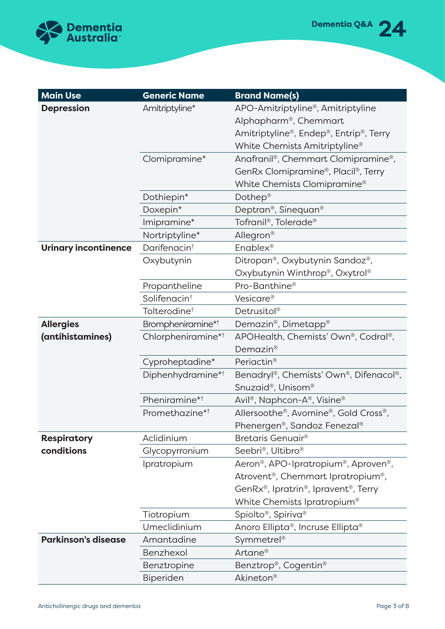

| <b>Main Use</b>             | <b>Generic Name</b>            | <b>Brand Name(s)</b>                                                       |
|-----------------------------|--------------------------------|----------------------------------------------------------------------------|
| <b>Depression</b>           | Amitriptyline*                 | APO-Amitriptyline®, Amitriptyline                                          |
|                             |                                | Alphapharm <sup>®</sup> , Chemmart                                         |
|                             |                                | Amitriptyline®, Endep®, Entrip®, Terry                                     |
|                             |                                | White Chemists Amitriptyline <sup>®</sup>                                  |
|                             | Clomipramine*                  | Anafranil <sup>®</sup> , Chemmart Clomipramine <sup>®</sup> ,              |
|                             |                                | GenRx Clomipramine®, Placil®, Terry                                        |
|                             |                                | White Chemists Clomipramine <sup>®</sup>                                   |
|                             | Dothiepin*                     | Dothep <sup>®</sup>                                                        |
|                             | Doxepin*                       | Deptran®, Sinequan®                                                        |
|                             | Imipramine*                    | Tofranil <sup>®</sup> , Tolerade <sup>®</sup>                              |
|                             | Nortriptyline*                 | Allegron®                                                                  |
| <b>Urinary incontinence</b> | Darifenacin <sup>t</sup>       | Enablex <sup>®</sup>                                                       |
|                             | Oxybutynin                     | Ditropan <sup>®</sup> , Oxybutynin Sandoz®,                                |
|                             |                                | Oxybutynin Winthrop®, Oxytrol®                                             |
|                             | Propantheline                  | Pro-Banthine <sup>®</sup>                                                  |
|                             | Solifenacin <sup>t</sup>       | Vesicare <sup>®</sup>                                                      |
|                             | Tolterodine <sup>t</sup>       | Detrusitol <sup>®</sup>                                                    |
| <b>Allergies</b>            | Brompheniramine* <sup>†</sup>  | Demazin <sup>®</sup> , Dimetapp <sup>®</sup>                               |
| (antihistamines)            | Chlorpheniramine* <sup>†</sup> | APOHealth, Chemists' Own <sup>®</sup> , Codral®,                           |
|                             |                                | Demazin <sup>®</sup>                                                       |
|                             | Cyproheptadine*                | Periactin <sup>®</sup>                                                     |
|                             | Diphenhydramine* <sup>†</sup>  | Benadryl®, Chemists' Own®, Difenacol®,                                     |
|                             |                                | Snuzaid <sup>®</sup> , Unisom <sup>®</sup>                                 |
|                             | Pheniramine* <sup>†</sup>      | Avil <sup>®</sup> , Naphcon-A®, Visine®                                    |
|                             | Promethazine* <sup>†</sup>     | Allersoothe®, Avomine®, Gold Cross®,                                       |
|                             |                                | Phenergen®, Sandoz Fenezal®                                                |
| <b>Respiratory</b>          | Aclidinium                     | Bretaris Genuair <sup>®</sup>                                              |
| conditions                  | Glycopyrronium                 | Seebri <sup>®</sup> , Ultibro <sup>®</sup>                                 |
|                             | Ipratropium                    | Aeron <sup>®</sup> , APO-Ipratropium <sup>®</sup> , Aproven <sup>®</sup> , |
|                             |                                | Atrovent <sup>®</sup> , Chemmart Ipratropium <sup>®</sup> ,                |
|                             |                                | GenRx®, Ipratrin®, Ipravent®, Terry                                        |
|                             |                                | White Chemists Ipratropium <sup>®</sup>                                    |
|                             | Tiotropium                     | Spiolto <sup>®</sup> , Spiriva <sup>®</sup>                                |
|                             | Umeclidinium                   | Anoro Ellipta®, Incruse Ellipta®                                           |
| <b>Parkinson's disease</b>  | Amantadine                     | Symmetrel <sup>®</sup>                                                     |
|                             | Benzhexol                      | Artane <sup>®</sup>                                                        |
|                             | Benztropine                    | Benztrop <sup>®</sup> , Cogentin <sup>®</sup>                              |
|                             | Biperiden                      | Akineton <sup>®</sup>                                                      |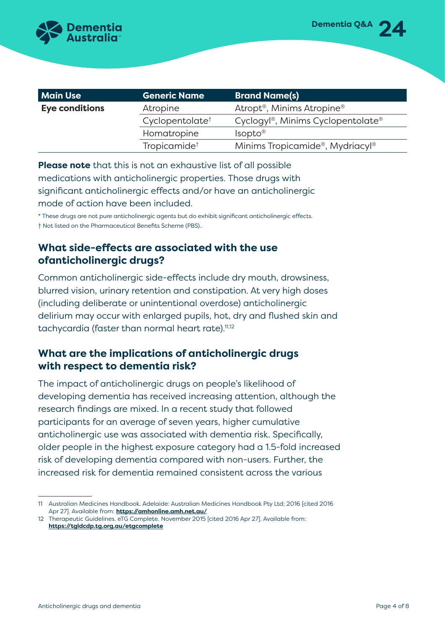

| <b>Main Use</b> | <b>Generic Name</b>         | <b>Brand Name(s)</b>                                       |
|-----------------|-----------------------------|------------------------------------------------------------|
| Eye conditions  | Atropine                    | Atropt <sup>®</sup> , Minims Atropine <sup>®</sup>         |
|                 | Cyclopentolate <sup>†</sup> | Cyclogyl <sup>®</sup> , Minims Cyclopentolate <sup>®</sup> |
|                 | Homatropine                 | Isopto <sup>®</sup>                                        |
|                 | Tropicamide <sup>†</sup>    | Minims Tropicamide®, Mydriacyl®                            |

**Please note** that this is not an exhaustive list of all possible medications with anticholinergic properties. Those drugs with significant anticholinergic effects and/or have an anticholinergic mode of action have been included.

\* These drugs are not pure anticholinergic agents but do exhibit significant anticholinergic effects. † Not listed on the Pharmaceutical Benefits Scheme (PBS)..

#### **What side-effects are associated with the use ofanticholinergic drugs?**

Common anticholinergic side-effects include dry mouth, drowsiness, blurred vision, urinary retention and constipation. At very high doses (including deliberate or unintentional overdose) anticholinergic delirium may occur with enlarged pupils, hot, dry and flushed skin and tachycardia (faster than normal heart rate).<sup>11,12</sup>

## **What are the implications of anticholinergic drugs with respect to dementia risk?**

The impact of anticholinergic drugs on people's likelihood of developing dementia has received increasing attention, although the research findings are mixed. In a recent study that followed participants for an average of seven years, higher cumulative anticholinergic use was associated with dementia risk. Specifically, older people in the highest exposure category had a 1.5-fold increased risk of developing dementia compared with non-users. Further, the increased risk for dementia remained consistent across the various

<sup>11</sup> Australian Medicines Handbook. Adelaide: Australian Medicines Handbook Pty Ltd; 2016 [cited 2016 Apr 27]. Available from: **<https://amhonline.amh.net.au/>**

<sup>12</sup> Therapeutic Guidelines. eTG Complete. November 2015 [cited 2016 Apr 27]. Available from: **<https://tgldcdp.tg.org.au/etgcomplete>**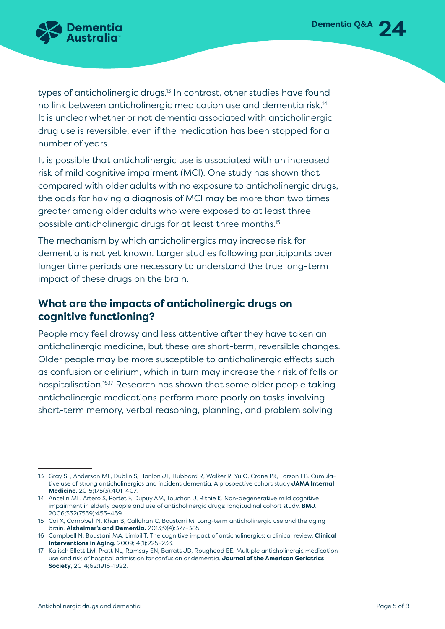

types of anticholinergic drugs.<sup>13</sup> In contrast, other studies have found no link between anticholinergic medication use and dementia risk.<sup>14</sup> It is unclear whether or not dementia associated with anticholinergic drug use is reversible, even if the medication has been stopped for a number of years.

It is possible that anticholinergic use is associated with an increased risk of mild cognitive impairment (MCI). One study has shown that compared with older adults with no exposure to anticholinergic drugs, the odds for having a diagnosis of MCI may be more than two times greater among older adults who were exposed to at least three possible anticholinergic drugs for at least three months.15

The mechanism by which anticholinergics may increase risk for dementia is not yet known. Larger studies following participants over longer time periods are necessary to understand the true long-term impact of these drugs on the brain.

#### **What are the impacts of anticholinergic drugs on cognitive functioning?**

People may feel drowsy and less attentive after they have taken an anticholinergic medicine, but these are short-term, reversible changes. Older people may be more susceptible to anticholinergic effects such as confusion or delirium, which in turn may increase their risk of falls or hospitalisation.16,17 Research has shown that some older people taking anticholinergic medications perform more poorly on tasks involving short-term memory, verbal reasoning, planning, and problem solving

<sup>13</sup> Gray SL, Anderson ML, Dublin S, Hanlon JT, Hubbard R, Walker R, Yu O, Crane PK, Larson EB. Cumulative use of strong anticholinergics and incident dementia. A prospective cohort study **JAMA Internal Medicine**. 2015;175(3):401–407.

<sup>14</sup> Ancelin ML, Artero S, Portet F, Dupuy AM, Touchon J, Rithie K. Non-degenerative mild cognitive impairment in elderly people and use of anticholinergic drugs: longitudinal cohort study. **BMJ**. 2006;332(7539):455–459.

<sup>15</sup> Cai X, Campbell N, Khan B, Callahan C, Boustani M. Long-term anticholinergic use and the aging brain. **Alzheimer's and Dementia.** 2013;9(4):377–385.

<sup>16</sup> Campbell N, Boustani MA, Limbil T. The cognitive impact of anticholinergics: a clinical review. **Clinical Interventions in Aging.** 2009; 4(1):225–233.

<sup>17</sup> Kalisch Ellett LM, Pratt NL, Ramsay EN, Barratt JD, Roughead EE. Multiple anticholinergic medication use and risk of hospital admission for confusion or dementia. **Journal of the American Geriatrics Society**, 2014;62:1916–1922.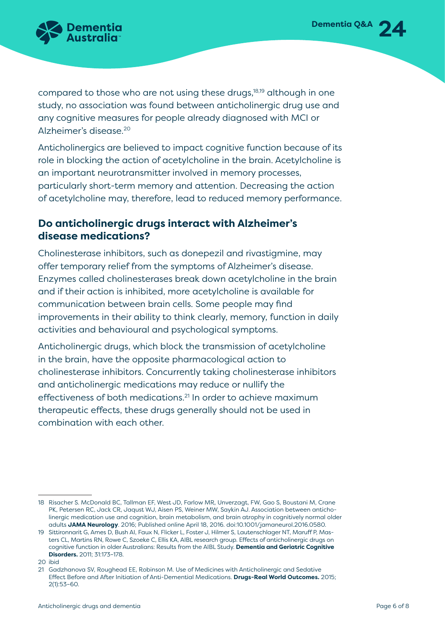

compared to those who are not using these drugs,18,19 although in one study, no association was found between anticholinergic drug use and any cognitive measures for people already diagnosed with MCI or Alzheimer's disease.20

Anticholinergics are believed to impact cognitive function because of its role in blocking the action of acetylcholine in the brain. Acetylcholine is an important neurotransmitter involved in memory processes, particularly short-term memory and attention. Decreasing the action of acetylcholine may, therefore, lead to reduced memory performance.

#### **Do anticholinergic drugs interact with Alzheimer's disease medications?**

Cholinesterase inhibitors, such as donepezil and rivastigmine, may offer temporary relief from the symptoms of Alzheimer's disease. Enzymes called cholinesterases break down acetylcholine in the brain and if their action is inhibited, more acetylcholine is available for communication between brain cells. Some people may find improvements in their ability to think clearly, memory, function in daily activities and behavioural and psychological symptoms.

Anticholinergic drugs, which block the transmission of acetylcholine in the brain, have the opposite pharmacological action to cholinesterase inhibitors. Concurrently taking cholinesterase inhibitors and anticholinergic medications may reduce or nullify the effectiveness of both medications.21 In order to achieve maximum therapeutic effects, these drugs generally should not be used in combination with each other.

<sup>18</sup> Risacher S. McDonald BC, Tallman EF, West JD, Farlow MR, Unverzagt, FW, Gao S, Boustani M, Crane PK, Petersen RC, Jack CR, Jaqust WJ, Aisen PS, Weiner MW, Saykin AJ. Association between anticholinergic medication use and cognition, brain metabolism, and brain atrophy in cognitively normal older adults **JAMA Neurology**. 2016; Published online April 18, 2016. doi:10.1001/jamaneurol.2016.0580.

<sup>19</sup> Sittironnarit G, Ames D, Bush AI, Faux N, Flicker L, Foster J, Hilmer S, Lautenschlager NT, Maruff P, Masters CL, Martins RN, Rowe C, Szoeke C, Ellis KA, AIBL research group. Effects of anticholinergic drugs on cognitive function in older Australians: Results from the AIBL Study. **Dementia and Geriatric Cognitive Disorders.** 2011; 31:173–178.

<sup>20</sup> ibid

<sup>21</sup> Gadzhanova SV, Roughead EE, Robinson M. Use of Medicines with Anticholinergic and Sedative Effect Before and After Initiation of Anti-Demential Medications. **Drugs-Real World Outcomes.** 2015; 2(1):53–60.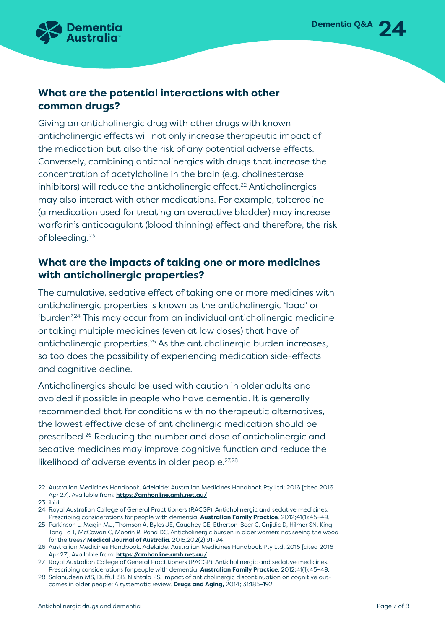

#### **What are the potential interactions with other common drugs?**

Giving an anticholinergic drug with other drugs with known anticholinergic effects will not only increase therapeutic impact of the medication but also the risk of any potential adverse effects. Conversely, combining anticholinergics with drugs that increase the concentration of acetylcholine in the brain (e.g. cholinesterase inhibitors) will reduce the anticholinergic effect.<sup>22</sup> Anticholinergics may also interact with other medications. For example, tolterodine (a medication used for treating an overactive bladder) may increase warfarin's anticoagulant (blood thinning) effect and therefore, the risk of bleeding.23

## **What are the impacts of taking one or more medicines with anticholinergic properties?**

The cumulative, sedative effect of taking one or more medicines with anticholinergic properties is known as the anticholinergic 'load' or 'burden'.24 This may occur from an individual anticholinergic medicine or taking multiple medicines (even at low doses) that have of anticholinergic properties.25 As the anticholinergic burden increases, so too does the possibility of experiencing medication side-effects and cognitive decline.

Anticholinergics should be used with caution in older adults and avoided if possible in people who have dementia. It is generally recommended that for conditions with no therapeutic alternatives, the lowest effective dose of anticholinergic medication should be prescribed.26 Reducing the number and dose of anticholinergic and sedative medicines may improve cognitive function and reduce the likelihood of adverse events in older people.<sup>27,28</sup>

<sup>22</sup> Australian Medicines Handbook. Adelaide: Australian Medicines Handbook Pty Ltd; 2016 [cited 2016 Apr 27]. Available from: **<https://amhonline.amh.net.au/>**

<sup>23</sup> ibid

<sup>24</sup> Royal Australian College of General Practitioners (RACGP). Anticholinergic and sedative medicines. Prescribing considerations for people with dementia. **Australian Family Practice**. 2012;41(1):45–49.

<sup>25</sup> Parkinson L, Magin MJ, Thomson A, Byles JE, Caughey GE, Etherton-Beer C, Gnjidic D, Hilmer SN, King Tong Lo T, McCowan C, Moorin R, Pond DC. Anticholinergic burden in older women: not seeing the wood for the trees? **Medical Journal of Australia**. 2015;202(2):91–94.

<sup>26</sup> Australian Medicines Handbook. Adelaide: Australian Medicines Handbook Pty Ltd; 2016 [cited 2016 Apr 27]. Available from: **<https://amhonline.amh.net.au/>**

<sup>27</sup> Royal Australian College of General Practitioners (RACGP). Anticholinergic and sedative medicines. Prescribing considerations for people with dementia. **Australian Family Practice**. 2012;41(1):45–49.

<sup>28</sup> Salahudeen MS, Duffull SB. Nishtala PS. Impact of anticholinergic discontinuation on cognitive outcomes in older people: A systematic review. **Drugs and Aging,** 2014; 31:185–192.